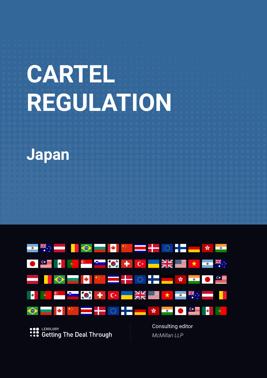# **CARTEL REGULATION**





LEXOLOGY **:::** Getting The Deal Through Consulting editor *McMillan LLP*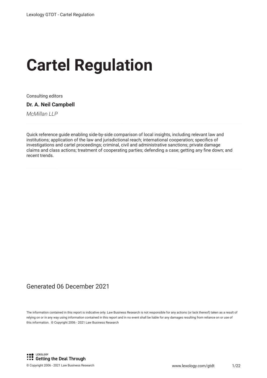# **Cartel Regulation**

Consulting editors

**Dr. A. Neil Campbell**

*McMillan LLP*

Quick reference guide enabling side-by-side comparison of local insights, including relevant law and institutions; application of the law and jurisdictional reach; international cooperation; specifcs of investigations and cartel proceedings; criminal, civil and administrative sanctions; private damage claims and class actions; treatment of cooperating parties; defending a case; getting any fne down; and recent trends.

#### Generated 06 December 2021

The information contained in this report is indicative only. Law Business Research is not responsible for any actions (or lack thereof) taken as a result of relying on or in any way using information contained in this report and in no event shall be liable for any damages resulting from reliance on or use of this information. © Copyright 2006 - 2021 Law Business Research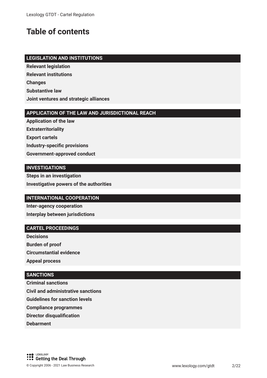## **Table of contents**

#### **LEGISLATION AND INSTITUTIONS**

**Relevant legislation Relevant institutions Changes Substantive law Joint ventures and strategic alliances**

#### **APPLICATION OF THE LAW AND JURISDICTIONAL REACH**

**Application of the law Extraterritoriality Export cartels Industry-specifc provisions Government-approved conduct**

#### **INVESTIGATIONS**

**Steps in an investigation Investigative powers of the authorities**

#### **INTERNATIONAL COOPERATION**

**Inter-agency cooperation Interplay between jurisdictions**

#### **CARTEL PROCEEDINGS**

**Decisions Burden of proof Circumstantial evidence Appeal process**

#### **SANCTIONS**

**Criminal sanctions Civil and administrative sanctions Guidelines for sanction levels Compliance programmes Director disqualifcation Debarment**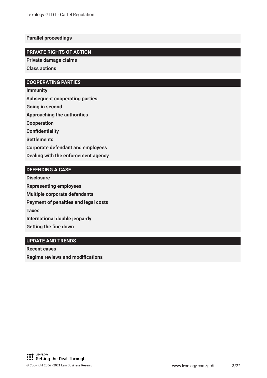#### **Parallel proceedings**

#### **PRIVATE RIGHTS OF ACTION**

**Private damage claims** 

**Class actions**

#### **COOPERATING PARTIES**

**Immunity Subsequent cooperating parties Going in second Approaching the authorities Cooperation Confidentiality Settlements Corporate defendant and employees Dealing with the enforcement agency**

#### **DEFENDING A CASE**

**Disclosure Representing employees Multiple corporate defendants Payment of penalties and legal costs Taxes International double jeopardy Getting the fne down**

#### **UPDATE AND TRENDS**

**Recent cases Regime reviews and modifcations**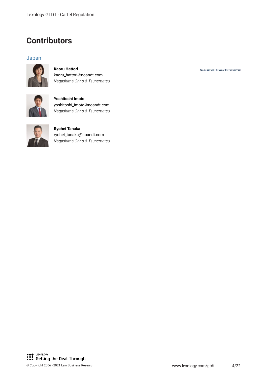### **Contributors**

#### Japan



**Kaoru Hattori** kaoru\_hattori@noandt.com *Nagashima Ohno & Tsunematsu*



**Yoshitoshi Imoto** yoshitoshi\_imoto@noandt.com *Nagashima Ohno & Tsunematsu*



**Ryohei Tanaka** ryohei\_tanaka@noandt.com *Nagashima Ohno & Tsunematsu*

NAGASHIMA OHNO & TSUNEMATSU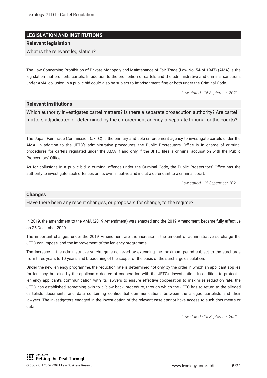#### **LEGISLATION AND INSTITUTIONS**

#### **Relevant legislation**

What is the relevant legislation?

The Law Concerning Prohibition of Private Monopoly and Maintenance of Fair Trade (Law No. 54 of 1947) (AMA) is the legislation that prohibits cartels. In addition to the prohibition of cartels and the administrative and criminal sanctions under AMA, collusion in a public bid could also be subject to imprisonment, fne or both under the Criminal Code.

*Law stated - 15 September 2021*

#### **Relevant institutions**

Which authority investigates cartel matters? Is there a separate prosecution authority? Are cartel matters adjudicated or determined by the enforcement agency, a separate tribunal or the courts?

The Japan Fair Trade Commission (JFTC) is the primary and sole enforcement agency to investigate cartels under the AMA. In addition to the JFTC's administrative procedures, the Public Prosecutors' Office is in charge of criminal procedures for cartels regulated under the AMA if and only if the JFTC fles a criminal accusation with the Public Prosecutors' Office.

As for collusions in a public bid, a criminal offence under the Criminal Code, the Public Prosecutors' Office has the authority to investigate such offences on its own initiative and indict a defendant to a criminal court.

*Law stated - 15 September 2021*

#### **Changes**

Have there been any recent changes, or proposals for change, to the regime?

In 2019, the amendment to the AMA (2019 Amendment) was enacted and the 2019 Amendment became fully effective on 25 December 2020.

The important changes under the 2019 Amendment are the increase in the amount of administrative surcharge the JFTC can impose, and the improvement of the leniency programme.

The increase in the administrative surcharge is achieved by extending the maximum period subject to the surcharge from three years to 10 years, and broadening of the scope for the basis of the surcharge calculation.

Under the new leniency programme, the reduction rate is determined not only by the order in which an applicant applies for leniency, but also by the applicant's degree of cooperation with the JFTC's investigation. In addition, to protect a leniency applicant's communication with its lawyers to ensure effective cooperation to maximise reduction rate, the JFTC has established something akin to a 'claw back' procedure, through which the JFTC has to return to the alleged cartelists documents and data containing confdential communications between the alleged cartelists and their lawyers. The investigators engaged in the investigation of the relevant case cannot have access to such documents or data.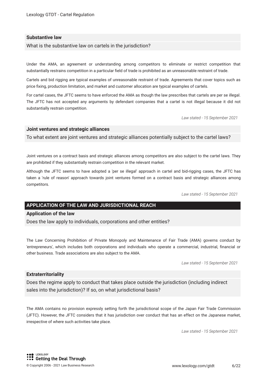#### **Substantive law**

What is the substantive law on cartels in the jurisdiction?

Under the AMA, an agreement or understanding among competitors to eliminate or restrict competition that substantially restrains competition in a particular feld of trade is prohibited as an unreasonable restraint of trade.

Cartels and bid rigging are typical examples of unreasonable restraint of trade. Agreements that cover topics such as price fxing, production limitation, and market and customer allocation are typical examples of cartels.

For cartel cases, the JFTC seems to have enforced the AMA as though the law prescribes that cartels are per se illegal. The JFTC has not accepted any arguments by defendant companies that a cartel is not illegal because it did not substantially restrain competition.

*Law stated - 15 September 2021*

#### **Joint ventures and strategic alliances**

To what extent are joint ventures and strategic alliances potentially subject to the cartel laws?

Joint ventures on a contract basis and strategic alliances among competitors are also subject to the cartel laws. They are prohibited if they substantially restrain competition in the relevant market.

Although the JFTC seems to have adopted a 'per se illegal' approach in cartel and bid-rigging cases, the JFTC has taken a 'rule of reason' approach towards joint ventures formed on a contract basis and strategic alliances among competitors.

*Law stated - 15 September 2021*

#### **APPLICATION OF THE LAW AND JURISDICTIONAL REACH**

#### **Application of the law**

Does the law apply to individuals, corporations and other entities?

The Law Concerning Prohibition of Private Monopoly and Maintenance of Fair Trade (AMA) governs conduct by 'entrepreneurs', which includes both corporations and individuals who operate a commercial, industrial, fnancial or other business. Trade associations are also subject to the AMA.

*Law stated - 15 September 2021*

#### **Extraterritoriality**

Does the regime apply to conduct that takes place outside the jurisdiction (including indirect sales into the jurisdiction)? If so, on what jurisdictional basis?

The AMA contains no provision expressly setting forth the jurisdictional scope of the Japan Fair Trade Commission (JFTC). However, the JFTC considers that it has jurisdiction over conduct that has an effect on the Japanese market, irrespective of where such activities take place.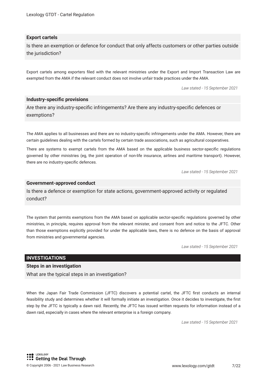Lexology GTDT - Cartel Regulation

#### **Export cartels**

Is there an exemption or defence for conduct that only affects customers or other parties outside the jurisdiction?

Export cartels among exporters fled with the relevant ministries under the Export and Import Transaction Law are exempted from the AMA if the relevant conduct does not involve unfair trade practices under the AMA.

*Law stated - 15 September 2021*

#### **Industry-specifc provisions**

Are there any industry-specifc infringements? Are there any industry-specifc defences or exemptions?

The AMA applies to all businesses and there are no industry-specifc infringements under the AMA. However, there are certain guidelines dealing with the cartels formed by certain trade associations, such as agricultural cooperatives.

There are systems to exempt cartels from the AMA based on the applicable business sector-specifc regulations governed by other ministries (eg, the joint operation of non-life insurance, airlines and maritime transport). However, there are no industry-specifc defences.

*Law stated - 15 September 2021*

#### **Government-approved conduct**

Is there a defence or exemption for state actions, government-approved activity or regulated conduct?

The system that permits exemptions from the AMA based on applicable sector-specifc regulations governed by other ministries, in principle, requires approval from the relevant minister, and consent from and notice to the JFTC. Other than those exemptions explicitly provided for under the applicable laws, there is no defence on the basis of approval from ministries and governmental agencies.

*Law stated - 15 September 2021*

#### **INVESTIGATIONS**

**Steps in an investigation**

What are the typical steps in an investigation?

When the Japan Fair Trade Commission (JFTC) discovers a potential cartel, the JFTC first conducts an internal feasibility study and determines whether it will formally initiate an investigation. Once it decides to investigate, the frst step by the JFTC is typically a dawn raid. Recently, the JFTC has issued written requests for information instead of a dawn raid, especially in cases where the relevant enterprise is a foreign company.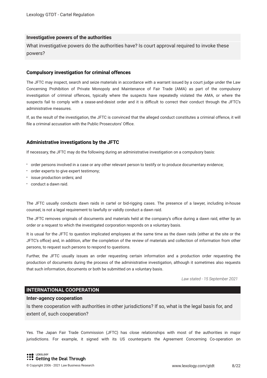#### **Investigative powers of the authorities**

What investigative powers do the authorities have? Is court approval required to invoke these powers?

#### **Compulsory investigation for criminal offences**

The JFTC may inspect, search and seize materials in accordance with a warrant issued by a court judge under the Law Concerning Prohibition of Private Monopoly and Maintenance of Fair Trade (AMA) as part of the compulsory investigation of criminal offences, typically where the suspects have repeatedly violated the AMA, or where the suspects fail to comply with a cease-and-desist order and it is difficult to correct their conduct through the JFTC's administrative measures.

If, as the result of the investigation, the JFTC is convinced that the alleged conduct constitutes a criminal offence, it will file a criminal accusation with the Public Prosecutors' Office.

#### **Administrative investigations by the JFTC**

If necessary, the JFTC may do the following during an administrative investigation on a compulsory basis:

- order persons involved in a case or any other relevant person to testify or to produce documentary evidence;
- order experts to give expert testimony;
- **•** issue production orders; and
- conduct a dawn raid.

The JFTC usually conducts dawn raids in cartel or bid-rigging cases. The presence of a lawyer, including in-house counsel, is not a legal requirement to lawfully or validly conduct a dawn raid.

The JFTC removes originals of documents and materials held at the company's office during a dawn raid, either by an order or a request to which the investigated corporation responds on a voluntary basis.

It is usual for the JFTC to question implicated employees at the same time as the dawn raids (either at the site or the JFTC's office) and, in addition, after the completion of the review of materials and collection of information from other persons, to request such persons to respond to questions.

Further, the JFTC usually issues an order requesting certain information and a production order requesting the production of documents during the process of the administrative investigation, although it sometimes also requests that such information, documents or both be submitted on a voluntary basis.

*Law stated - 15 September 2021*

#### **INTERNATIONAL COOPERATION**

#### **Inter-agency cooperation**

Is there cooperation with authorities in other jurisdictions? If so, what is the legal basis for, and extent of, such cooperation?

Yes. The Japan Fair Trade Commission (JFTC) has close relationships with most of the authorities in major jurisdictions. For example, it signed with its US counterparts the Agreement Concerning Co-operation on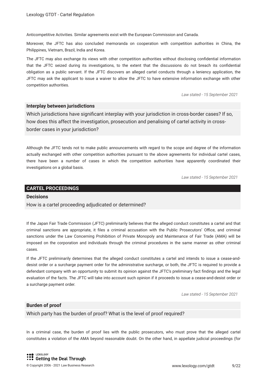Anticompetitive Activities. Similar agreements exist with the European Commission and Canada.

Moreover, the JFTC has also concluded memoranda on cooperation with competition authorities in China, the Philippines, Vietnam, Brazil, India and Korea.

The JFTC may also exchange its views with other competition authorities without disclosing confdential information that the JFTC seized during its investigations, to the extent that the discussions do not breach its confdential obligation as a public servant. If the JFTC discovers an alleged cartel conducts through a leniency application, the JFTC may ask the applicant to issue a waiver to allow the JFTC to have extensive information exchange with other competition authorities.

*Law stated - 15 September 2021*

#### **Interplay between jurisdictions**

Which jurisdictions have signifcant interplay with your jurisdiction in cross-border cases? If so, how does this affect the investigation, prosecution and penalising of cartel activity in crossborder cases in your jurisdiction?

Although the JFTC tends not to make public announcements with regard to the scope and degree of the information actually exchanged with other competition authorities pursuant to the above agreements for individual cartel cases, there have been a number of cases in which the competition authorities have apparently coordinated their investigations on a global basis.

*Law stated - 15 September 2021*

#### **CARTEL PROCEEDINGS**

#### **Decisions**

How is a cartel proceeding adjudicated or determined?

If the Japan Fair Trade Commission (JFTC) preliminarily believes that the alleged conduct constitutes a cartel and that criminal sanctions are appropriate, it files a criminal accusation with the Public Prosecutors' Office, and criminal sanctions under the Law Concerning Prohibition of Private Monopoly and Maintenance of Fair Trade (AMA) will be imposed on the corporation and individuals through the criminal procedures in the same manner as other criminal cases.

If the JFTC preliminarily determines that the alleged conduct constitutes a cartel and intends to issue a cease-anddesist order or a surcharge payment order for the administrative surcharge, or both, the JFTC is required to provide a defendant company with an opportunity to submit its opinion against the JFTC's preliminary fact fndings and the legal evaluation of the facts. The JFTC will take into account such opinion if it proceeds to issue a cease-and-desist order or a surcharge payment order.

*Law stated - 15 September 2021*

#### **Burden of proof**

Which party has the burden of proof? What is the level of proof required?

In a criminal case, the burden of proof lies with the public prosecutors, who must prove that the alleged cartel constitutes a violation of the AMA beyond reasonable doubt. On the other hand, in appellate judicial proceedings (for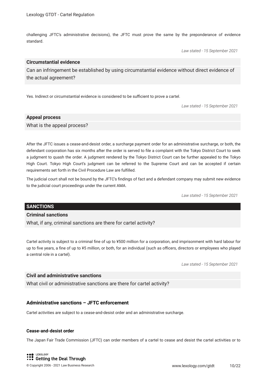challenging JFTC's administrative decisions), the JFTC must prove the same by the preponderance of evidence standard.

*Law stated - 15 September 2021*

#### **Circumstantial evidence**

Can an infringement be established by using circumstantial evidence without direct evidence of the actual agreement?

Yes. Indirect or circumstantial evidence is considered to be sufficient to prove a cartel.

*Law stated - 15 September 2021*

#### **Appeal process**

What is the appeal process?

After the JFTC issues a cease-and-desist order, a surcharge payment order for an administrative surcharge, or both, the defendant corporation has six months after the order is served to fle a complaint with the Tokyo District Court to seek a judgment to quash the order. A judgment rendered by the Tokyo District Court can be further appealed to the Tokyo High Court. Tokyo High Court's judgment can be referred to the Supreme Court and can be accepted if certain requirements set forth in the Civil Procedure Law are fulflled.

The judicial court shall not be bound by the JFTC's fndings of fact and a defendant company may submit new evidence to the judicial court proceedings under the current AMA.

*Law stated - 15 September 2021*

#### **SANCTIONS**

#### **Criminal sanctions**

What, if any, criminal sanctions are there for cartel activity?

Cartel activity is subject to a criminal fne of up to ¥500 million for a corporation, and imprisonment with hard labour for up to five years, a fine of up to ¥5 million, or both, for an individual (such as officers, directors or employees who played a central role in a cartel).

*Law stated - 15 September 2021*

#### **Civil and administrative sanctions**

What civil or administrative sanctions are there for cartel activity?

#### **Administrative sanctions – JFTC enforcement**

Cartel activities are subject to a cease-and-desist order and an administrative surcharge.

#### **Cease-and-desist order**

The Japan Fair Trade Commission (JFTC) can order members of a cartel to cease and desist the cartel activities or to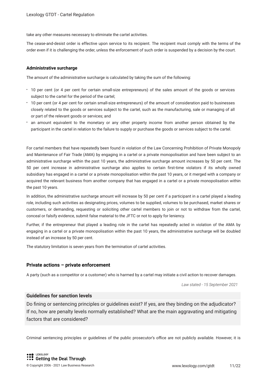take any other measures necessary to eliminate the cartel activities.

The cease-and-desist order is effective upon service to its recipient. The recipient must comply with the terms of the order even if it is challenging the order, unless the enforcement of such order is suspended by a decision by the court.

#### **Administrative surcharge**

The amount of the administrative surcharge is calculated by taking the sum of the following:

- 10 per cent (or 4 per cent for certain small-size entrepreneurs) of the sales amount of the goods or services subject to the cartel for the period of the cartel;
- 10 per cent (or 4 per cent for certain small-size entrepreneurs) of the amount of consideration paid to businesses closely related to the goods or services subject to the cartel, such as the manufacturing, sale or managing of all or part of the relevant goods or services; and
- an amount equivalent to the monetary or any other property income from another person obtained by the participant in the cartel in relation to the failure to supply or purchase the goods or services subject to the cartel.

For cartel members that have repeatedly been found in violation of the Law Concerning Prohibition of Private Monopoly and Maintenance of Fair Trade (AMA) by engaging in a cartel or a private monopolisation and have been subject to an administrative surcharge within the past 10 years, the administrative surcharge amount increases by 50 per cent. The 50 per cent increase in administrative surcharge also applies to certain frst-time violators if its wholly owned subsidiary has engaged in a cartel or a private monopolisation within the past 10 years, or it merged with a company or acquired the relevant business from another company that has engaged in a cartel or a private monopolisation within the past 10 years.

In addition, the administrative surcharge amount will increase by 50 per cent if a participant in a cartel played a leading role, including such activities as designating prices, volumes to be supplied, volumes to be purchased, market shares or customers, or demanding, requesting or soliciting other cartel members to join or not to withdraw from the cartel, conceal or falsify evidence, submit false material to the JFTC or not to apply for leniency.

Further, if the entrepreneur that played a leading role in the cartel has repeatedly acted in violation of the AMA by engaging in a cartel or a private monopolisation within the past 10 years, the administrative surcharge will be doubled instead of an increase by 50 per cent.

The statutory limitation is seven years from the termination of cartel activities.

#### **Private actions – private enforcement**

A party (such as a competitor or a customer) who is harmed by a cartel may initiate a civil action to recover damages.

*Law stated - 15 September 2021*

#### **Guidelines for sanction levels**

Do fning or sentencing principles or guidelines exist? If yes, are they binding on the adjudicator? If no, how are penalty levels normally established? What are the main aggravating and mitigating factors that are considered?

Criminal sentencing principles or quidelines of the public prosecutor's office are not publicly available. However, it is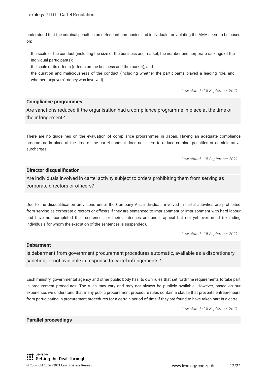understood that the criminal penalties on defendant companies and individuals for violating the AMA seem to be based on:

- the scale of the conduct (including the size of the business and market, the number and corporate rankings of the individual participants);
- the scale of its effects (effects on the business and the market); and
- the duration and maliciousness of the conduct (including whether the participants played a leading role, and whether taxpayers' money was involved).

*Law stated - 15 September 2021*

#### **Compliance programmes**

Are sanctions reduced if the organisation had a compliance programme in place at the time of the infringement?

There are no guidelines on the evaluation of compliance programmes in Japan. Having an adequate compliance programme in place at the time of the cartel conduct does not seem to reduce criminal penalties or administrative surcharges.

*Law stated - 15 September 2021*

#### **Director disqualifcation**

Are individuals involved in cartel activity subject to orders prohibiting them from serving as corporate directors or officers?

Due to the disqualifcation provisions under the Company Act, individuals involved in cartel activities are prohibited from serving as corporate directors or officers if they are sentenced to imprisonment or imprisonment with hard labour and have not completed their sentences, or their sentences are under appeal but not yet overturned (excluding individuals for whom the execution of the sentences is suspended).

*Law stated - 15 September 2021*

#### **Debarment**

Is debarment from government procurement procedures automatic, available as a discretionary sanction, or not available in response to cartel infringements?

Each ministry, governmental agency and other public body has its own rules that set forth the requirements to take part in procurement procedures. The rules may vary and may not always be publicly available. However, based on our experience, we understand that many public procurement procedure rules contain a clause that prevents entrepreneurs from participating in procurement procedures for a certain period of time if they are found to have taken part in a cartel.

*Law stated - 15 September 2021*

#### **Parallel proceedings**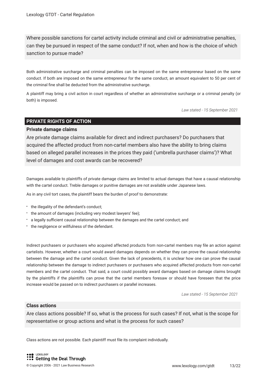Where possible sanctions for cartel activity include criminal and civil or administrative penalties, can they be pursued in respect of the same conduct? If not, when and how is the choice of which sanction to pursue made?

Both administrative surcharge and criminal penalties can be imposed on the same entrepreneur based on the same conduct. If both are imposed on the same entrepreneur for the same conduct, an amount equivalent to 50 per cent of the criminal fne shall be deducted from the administrative surcharge.

A plaintiff may bring a civil action in court regardless of whether an administrative surcharge or a criminal penalty (or both) is imposed.

*Law stated - 15 September 2021*

#### **PRIVATE RIGHTS OF ACTION**

#### **Private damage claims**

Are private damage claims available for direct and indirect purchasers? Do purchasers that acquired the affected product from non-cartel members also have the ability to bring claims based on alleged parallel increases in the prices they paid ('umbrella purchaser claims')? What level of damages and cost awards can be recovered?

Damages available to plaintiffs of private damage claims are limited to actual damages that have a causal relationship with the cartel conduct. Treble damages or punitive damages are not available under Japanese laws.

As in any civil tort cases, the plaintiff bears the burden of proof to demonstrate:

- the illegality of the defendant's conduct;
- the amount of damages (including very modest lawyers' fee);
- a legally sufficient causal relationship between the damages and the cartel conduct; and
- \* the negligence or willfulness of the defendant.

Indirect purchasers or purchasers who acquired affected products from non-cartel members may fle an action against cartelists. However, whether a court would award damages depends on whether they can prove the causal relationship between the damage and the cartel conduct. Given the lack of precedents, it is unclear how one can prove the causal relationship between the damage to indirect purchasers or purchasers who acquired affected products from non-cartel members and the cartel conduct. That said, a court could possibly award damages based on damage claims brought by the plaintiffs if the plaintiffs can prove that the cartel members foresaw or should have foreseen that the price increase would be passed on to indirect purchasers or parallel increases.

*Law stated - 15 September 2021*

#### **Class actions**

Are class actions possible? If so, what is the process for such cases? If not, what is the scope for representative or group actions and what is the process for such cases?

Class actions are not possible. Each plaintiff must fle its complaint individually.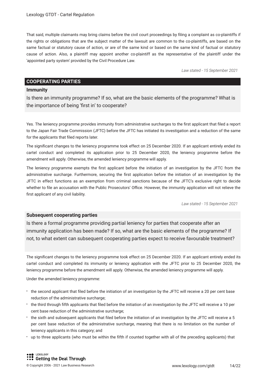That said, multiple claimants may bring claims before the civil court proceedings by fling a complaint as co-plaintiffs if the rights or obligations that are the subject matter of the lawsuit are common to the co-plaintiffs, are based on the same factual or statutory cause of action, or are of the same kind or based on the same kind of factual or statutory cause of action. Also, a plaintiff may appoint another co-plaintiff as the representative of the plaintiff under the 'appointed party system' provided by the Civil Procedure Law.

*Law stated - 15 September 2021*

#### **COOPERATING PARTIES**

#### **Immunity**

Is there an immunity programme? If so, what are the basic elements of the programme? What is the importance of being 'frst in' to cooperate?

Yes. The leniency programme provides immunity from administrative surcharges to the frst applicant that fled a report to the Japan Fair Trade Commission (JFTC) before the JFTC has initiated its investigation and a reduction of the same for the applicants that fled reports later.

The signifcant changes to the leniency programme took effect on 25 December 2020. If an applicant entirely ended its cartel conduct and completed its application prior to 25 December 2020, the leniency programme before the amendment will apply. Otherwise, the amended leniency programme will apply.

The leniency programme exempts the frst applicant before the initiation of an investigation by the JFTC from the administrative surcharge. Furthermore, securing the frst application before the initiation of an investigation by the JFTC in effect functions as an exemption from criminal sanctions because of the JFTC's exclusive right to decide whether to file an accusation with the Public Prosecutors' Office. However, the immunity application will not relieve the frst applicant of any civil liability.

*Law stated - 15 September 2021*

#### **Subsequent cooperating parties**

Is there a formal programme providing partial leniency for parties that cooperate after an immunity application has been made? If so, what are the basic elements of the programme? If not, to what extent can subsequent cooperating parties expect to receive favourable treatment?

The signifcant changes to the leniency programme took effect on 25 December 2020. If an applicant entirely ended its cartel conduct and completed its immunity or leniency application with the JFTC prior to 25 December 2020, the leniency programme before the amendment will apply. Otherwise, the amended leniency programme will apply.

Under the amended leniency programme:

- the second applicant that fled before the initiation of an investigation by the JFTC will receive a 20 per cent base reduction of the administrative surcharge;
- the third through ffth applicants that fled before the initiation of an investigation by the JFTC will receive a 10 per cent base reduction of the administrative surcharge;
- the sixth and subsequent applicants that fled before the initiation of an investigation by the JFTC will receive a 5 per cent base reduction of the administrative surcharge, meaning that there is no limitation on the number of leniency applicants in this category; and
- up to three applicants (who must be within the ffth if counted together with all of the preceding applicants) that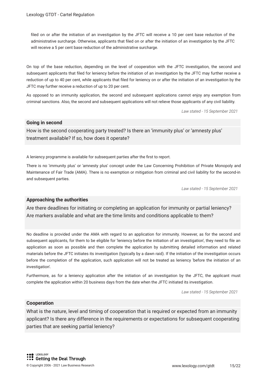fled on or after the initiation of an investigation by the JFTC will receive a 10 per cent base reduction of the administrative surcharge. Otherwise, applicants that fled on or after the initiation of an investigation by the JFTC will receive a 5 per cent base reduction of the administrative surcharge.

On top of the base reduction, depending on the level of cooperation with the JFTC investigation, the second and subsequent applicants that fled for leniency before the initiation of an investigation by the JFTC may further receive a reduction of up to 40 per cent, while applicants that fled for leniency on or after the initiation of an investigation by the JFTC may further receive a reduction of up to 20 per cent.

As opposed to an immunity application, the second and subsequent applications cannot enjoy any exemption from criminal sanctions. Also, the second and subsequent applications will not relieve those applicants of any civil liability.

*Law stated - 15 September 2021*

#### **Going in second**

How is the second cooperating party treated? Is there an 'immunity plus' or 'amnesty plus' treatment available? If so, how does it operate?

A leniency programme is available for subsequent parties after the frst to report.

There is no 'immunity plus' or 'amnesty plus' concept under the Law Concerning Prohibition of Private Monopoly and Maintenance of Fair Trade (AMA). There is no exemption or mitigation from criminal and civil liability for the second-in and subsequent parties.

*Law stated - 15 September 2021*

#### **Approaching the authorities**

Are there deadlines for initiating or completing an application for immunity or partial leniency? Are markers available and what are the time limits and conditions applicable to them?

No deadline is provided under the AMA with regard to an application for immunity. However, as for the second and subsequent applicants, for them to be eligible for 'leniency before the initiation of an investigation', they need to fle an application as soon as possible and then complete the application by submitting detailed information and related materials before the JFTC initiates its investigation (typically by a dawn raid). If the initiation of the investigation occurs before the completion of the application, such application will not be treated as leniency 'before the initiation of an investigation'.

Furthermore, as for a leniency application after the initiation of an investigation by the JFTC, the applicant must complete the application within 20 business days from the date when the JFTC initiated its investigation.

*Law stated - 15 September 2021*

#### **Cooperation**

What is the nature, level and timing of cooperation that is required or expected from an immunity applicant? Is there any difference in the requirements or expectations for subsequent cooperating parties that are seeking partial leniency?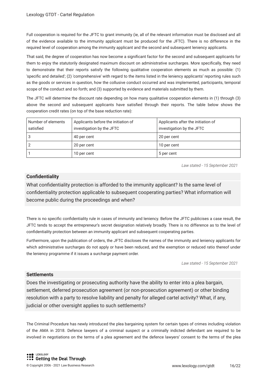Full cooperation is required for the JFTC to grant immunity (ie, all of the relevant information must be disclosed and all of the evidence available to the immunity applicant must be produced for the JFTC). There is no difference in the required level of cooperation among the immunity applicant and the second and subsequent leniency applicants.

That said, the degree of cooperation has now become a signifcant factor for the second and subsequent applicants for them to enjoy the statutorily designated maximum discount on administrative surcharges. More specifcally, they need to demonstrate that their reports satisfy the following qualitative cooperation elements as much as possible: (1) 'specifc and detailed'; (2) 'comprehensive' with regard to the items listed in the leniency applicants' reporting rules such as the goods or services in question, how the collusive conduct occurred and was implemented, participants, temporal scope of the conduct and so forth; and (3) supported by evidence and materials submitted by them.

The JFTC will determine the discount rate depending on how many qualitative cooperation elements in (1) through (3) above the second and subsequent applicants have satisfed through their reports. The table below shows the cooperation credit rates (on top of the base reduction rate):

| Number of elements<br>satisfied | Applicants before the initiation of<br>investigation by the JFTC | Applicants after the initiation of<br>investigation by the JFTC |
|---------------------------------|------------------------------------------------------------------|-----------------------------------------------------------------|
|                                 | 40 per cent                                                      | 20 per cent                                                     |
|                                 | 20 per cent                                                      | 10 per cent                                                     |
|                                 | 10 per cent                                                      | 5 per cent                                                      |

*Law stated - 15 September 2021*

#### **Confidentiality**

What confdentiality protection is afforded to the immunity applicant? Is the same level of confdentiality protection applicable to subsequent cooperating parties? What information will become public during the proceedings and when?

There is no specifc confdentiality rule in cases of immunity and leniency. Before the JFTC publicises a case result, the JFTC tends to accept the entrepreneur's secret designation relatively broadly. There is no difference as to the level of confdentiality protection between an immunity applicant and subsequent cooperating parties.

Furthermore, upon the publication of orders, the JFTC discloses the names of the immunity and leniency applicants for which administrative surcharges do not apply or have been reduced, and the exemption or reduced ratio thereof under the leniency programme if it issues a surcharge payment order.

*Law stated - 15 September 2021*

#### **Settlements**

Does the investigating or prosecuting authority have the ability to enter into a plea bargain, settlement, deferred prosecution agreement (or non-prosecution agreement) or other binding resolution with a party to resolve liability and penalty for alleged cartel activity? What, if any, judicial or other oversight applies to such settlements?

The Criminal Procedure has newly introduced the plea bargaining system for certain types of crimes including violation of the AMA in 2018. Defence lawyers of a criminal suspect or a criminally indicted defendant are required to be involved in negotiations on the terms of a plea agreement and the defence lawyers' consent to the terms of the plea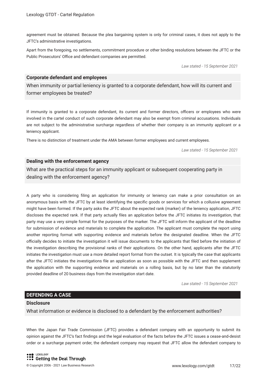agreement must be obtained. Because the plea bargaining system is only for criminal cases, it does not apply to the JFTC's administrative investigations.

Apart from the foregoing, no settlements, commitment procedure or other binding resolutions between the JFTC or the Public Prosecutors' Office and defendant companies are permitted.

*Law stated - 15 September 2021*

#### **Corporate defendant and employees**

When immunity or partial leniency is granted to a corporate defendant, how will its current and former employees be treated?

If immunity is granted to a corporate defendant, its current and former directors, officers or employees who were involved in the cartel conduct of such corporate defendant may also be exempt from criminal accusations. Individuals are not subject to the administrative surcharge regardless of whether their company is an immunity applicant or a leniency applicant.

There is no distinction of treatment under the AMA between former employees and current employees.

*Law stated - 15 September 2021*

#### **Dealing with the enforcement agency**

What are the practical steps for an immunity applicant or subsequent cooperating party in dealing with the enforcement agency?

A party who is considering fling an application for immunity or leniency can make a prior consultation on an anonymous basis with the JFTC by at least identifying the specifc goods or services for which a collusive agreement might have been formed. If the party asks the JFTC about the expected rank (marker) of the leniency application, JFTC discloses the expected rank. If that party actually fles an application before the JFTC initiates its investigation, that party may use a very simple format for the purposes of the marker. The JFTC will inform the applicant of the deadline for submission of evidence and materials to complete the application. The applicant must complete the report using another reporting format with supporting evidence and materials before the designated deadline. When the JFTC officially decides to initiate the investigation it will issue documents to the applicants that filed before the initiation of the investigation describing the provisional ranks of their applications. On the other hand, applicants after the JFTC initiates the investigation must use a more detailed report format from the outset. It is typically the case that applicants after the JFTC initiates the investigations fle an application as soon as possible with the JFTC and then supplement the application with the supporting evidence and materials on a rolling basis, but by no later than the statutorily provided deadline of 20 business days from the investigation start date.

*Law stated - 15 September 2021*

#### **DEFENDING A CASE**

#### **Disclosure**

What information or evidence is disclosed to a defendant by the enforcement authorities?

When the Japan Fair Trade Commission (JFTC) provides a defendant company with an opportunity to submit its opinion against the JFTC's fact fndings and the legal evaluation of the facts before the JFTC issues a cease-and-desist order or a surcharge payment order, the defendant company may request that JFTC allow the defendant company to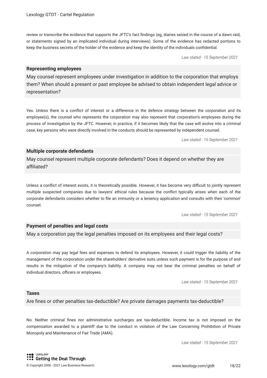review or transcribe the evidence that supports the JFTC's fact fndings (eg, diaries seized in the course of a dawn raid, or statements signed by an implicated individual during interviews). Some of the evidence has redacted portions to keep the business secrets of the holder of the evidence and keep the identity of the individuals confdential.

*Law stated - 15 September 2021*

#### **Representing employees**

May counsel represent employees under investigation in addition to the corporation that employs them? When should a present or past employee be advised to obtain independent legal advice or representation?

Yes. Unless there is a confict of interest or a difference in the defence strategy between the corporation and its employee(s), the counsel who represents the corporation may also represent that corporation's employees during the process of investigation by the JFTC. However, in practice, if it becomes likely that the case will evolve into a criminal case, key persons who were directly involved in the conducts should be represented by independent counsel.

*Law stated - 15 September 2021*

#### **Multiple corporate defendants**

May counsel represent multiple corporate defendants? Does it depend on whether they are affiliated?

Unless a confict of interest exists, it is theoretically possible. However, it has become very difcult to jointly represent multiple suspected companies due to lawyers' ethical rules because the confict typically arises when each of the corporate defendants considers whether to fle an immunity or a leniency application and consults with their 'common' counsel.

*Law stated - 15 September 2021*

#### **Payment of penalties and legal costs**

May a corporation pay the legal penalties imposed on its employees and their legal costs?

A corporation may pay legal fees and expenses to defend its employees. However, it could trigger the liability of the management of the corporation under the shareholders' derivative suits unless such payment is for the purpose of and results in the mitigation of the company's liability. A company may not bear the criminal penalties on behalf of individual directors, officers or employees.

*Law stated - 15 September 2021*

#### **Taxes**

Are fnes or other penalties tax-deductible? Are private damages payments tax-deductible?

No. Neither criminal fnes nor administrative surcharges are tax-deductible. Income tax is not imposed on the compensation awarded to a plaintiff due to the conduct in violation of the Law Concerning Prohibition of Private Monopoly and Maintenance of Fair Trade (AMA).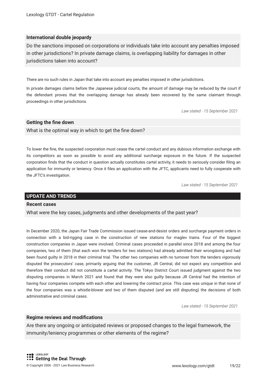#### **International double jeopardy**

Do the sanctions imposed on corporations or individuals take into account any penalties imposed in other jurisdictions? In private damage claims, is overlapping liability for damages in other jurisdictions taken into account?

There are no such rules in Japan that take into account any penalties imposed in other jurisdictions.

In private damages claims before the Japanese judicial courts, the amount of damage may be reduced by the court if the defendant proves that the overlapping damage has already been recovered by the same claimant through proceedings in other jurisdictions.

*Law stated - 15 September 2021*

#### **Getting the fne down**

What is the optimal way in which to get the fine down?

To lower the fne, the suspected corporation must cease the cartel conduct and any dubious information exchange with its competitors as soon as possible to avoid any additional surcharge exposure in the future. If the suspected corporation fnds that the conduct in question actually constitutes cartel activity, it needs to seriously consider fling an application for immunity or leniency. Once it fles an application with the JFTC, applicants need to fully cooperate with the JFTC's investigation.

*Law stated - 15 September 2021*

#### **UPDATE AND TRENDS**

#### **Recent cases**

What were the key cases, judgments and other developments of the past year?

In December 2020, the Japan Fair Trade Commission issued cease-and-desist orders and surcharge payment orders in connection with a bid-rigging case in the construction of new stations for maglev trains. Four of the biggest construction companies in Japan were involved. Criminal cases proceeded in parallel since 2018 and among the four companies, two of them (that each won the tenders for two stations) had already admitted their wrongdoing and had been found guilty in 2018 in their criminal trial. The other two companies with no turnover from the tenders vigorously disputed the prosecutors' case, primarily arguing that the customer, JR Central, did not expect any competition and therefore their conduct did not constitute a cartel activity. The Tokyo District Court issued judgment against the two disputing companies in March 2021 and found that they were also guilty because JR Central had the intention of having four companies compete with each other and lowering the contract price. This case was unique in that none of the four companies was a whistle-blower and two of them disputed (and are still disputing) the decisions of both administrative and criminal cases.

*Law stated - 15 September 2021*

#### **Regime reviews and modifcations**

Are there any ongoing or anticipated reviews or proposed changes to the legal framework, the immunity/leniency programmes or other elements of the regime?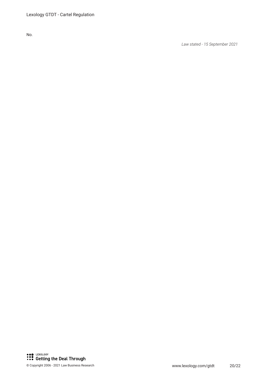Lexology GTDT - Cartel Regulation

No.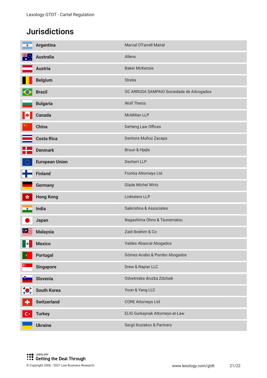# **Jurisdictions**

| 0             | <b>Argentina</b>      | Marval O'Farrell Mairal                  |
|---------------|-----------------------|------------------------------------------|
| $\frac{1}{2}$ | <b>Australia</b>      | Allens                                   |
|               | <b>Austria</b>        | <b>Baker McKenzie</b>                    |
|               | <b>Belgium</b>        | <b>Strelia</b>                           |
| K             | <b>Brazil</b>         | OC ARRUDA SAMPAIO Sociedade de Advogados |
|               | <b>Bulgaria</b>       | <b>Wolf Theiss</b>                       |
|               | <b>Canada</b>         | <b>McMillan LLP</b>                      |
|               | <b>China</b>          | DeHeng Law Offices                       |
|               | <b>Costa Rica</b>     | Dentons Muñoz Zacapa                     |
|               | <b>Denmark</b>        | Bruun & Hjejle                           |
|               | <b>European Union</b> | <b>Dechert LLP</b>                       |
|               | <b>Finland</b>        | Frontia Attorneys Ltd                    |
|               | <b>Germany</b>        | <b>Glade Michel Wirtz</b>                |
| ್ನಿ           | <b>Hong Kong</b>      | Linklaters LLP                           |
| $\bullet$     | India                 | Saikrishna & Associates                  |
|               | Japan                 | Nagashima Ohno & Tsunematsu              |
|               | <b>Malaysia</b>       | Zaid Ibrahim & Co                        |
| IO.           | <b>Mexico</b>         | <b>Valdes Abascal Abogados</b>           |
|               | <b>Portugal</b>       | Gómez-Acebo & Pombo Abogados             |
| $\mathbb{C}$  | <b>Singapore</b>      | Drew & Napier LLC                        |
|               | <b>Slovenia</b>       | Odvetniska druzba Zdolsek                |
| <b>めのや</b>    | <b>South Korea</b>    | Yoon & Yang LLC                          |
|               | <b>Switzerland</b>    | <b>CORE Attorneys Ltd</b>                |
| -C            | <b>Turkey</b>         | ELIG Gurkaynak Attorneys-at-Law          |
|               | <b>Ukraine</b>        | Sergii Koziakov & Partners               |